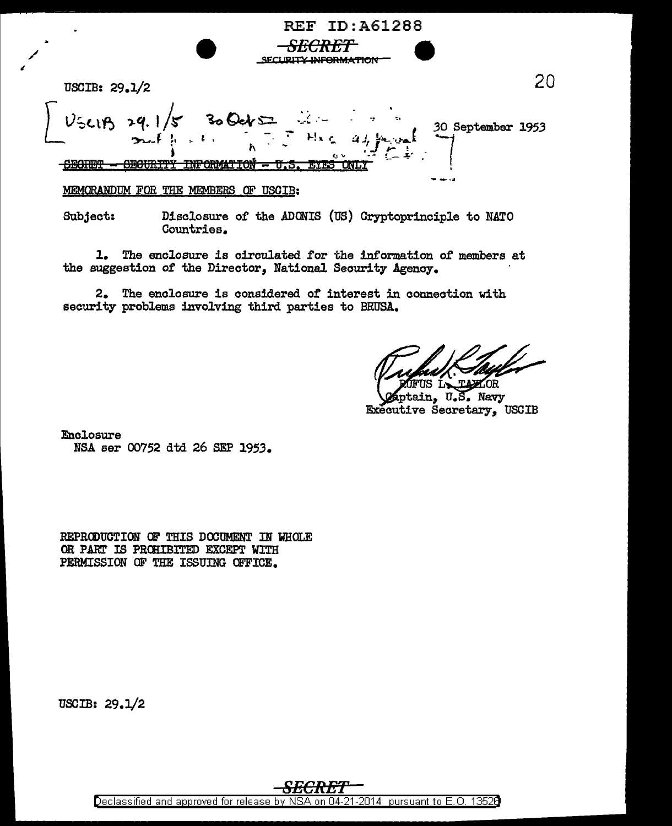| SELLING CAN CAN BE TICK                                        |                   |  |
|----------------------------------------------------------------|-------------------|--|
| USCIB: $29.1/2$                                                |                   |  |
|                                                                | 30 September 1953 |  |
| amanno<br><u>лт.</u>                                           |                   |  |
| <b>MEMORANDIM</b><br>ΠŦ<br><b>HSCTR.</b><br>THE MEMBERS<br>FOR |                   |  |

**REF ID:A61288** 

**FCRET** 

Disclosure of the ADONIS (US) Cryptoprinciple to NATO Subject: Countries.

The enclosure is circulated for the information of members at 1. the suggestion of the Director, National Security Agency.

2. The enclosure is considered of interest in connection with security problems involving third parties to BRUSA.

ptain, U.S. Navy Executive Secretary, USCIB

Enclosure NSA ser 00752 dtd 26 SEP 1953.

REPRODUCTION OF THIS DOCUMENT IN WHOLE OR PART IS PROHIBITED EXCEPT WITH PERMISSION OF THE ISSUING OFFICE.

USCIB:  $29.1/2$ 

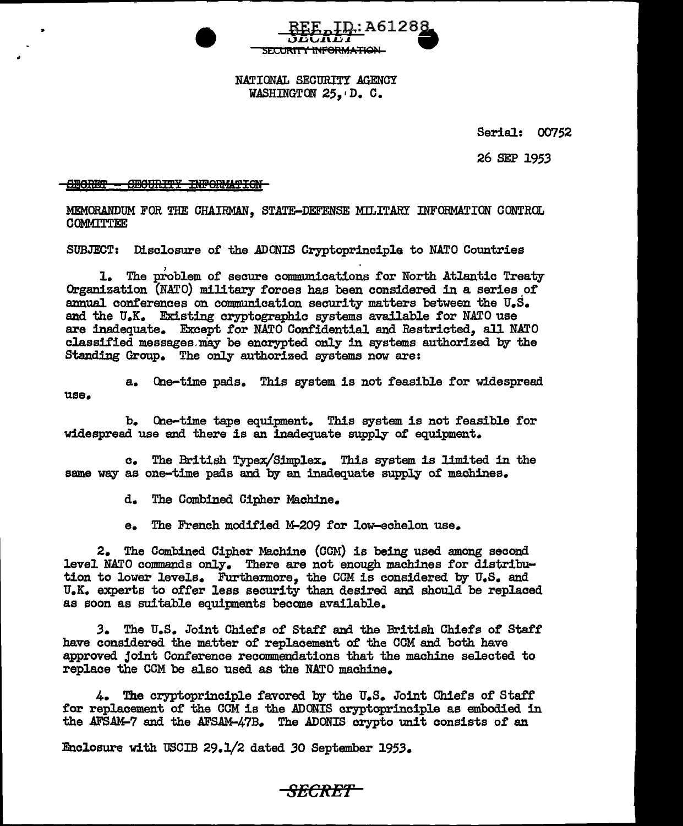

## NATIONAL SECURITY AGENCY WASHINGTON 25. D. C.

Serial: 00752

26 SEP 1953

SECRET - SECURITY INFORMATION

MEMORANDUM FOR THE CHAIRMAN, STATE-DEFENSE MILITARY INFORMATION CONTROL COMMITTEE

SUBJECT: Disclosure of the ADONIS Cryptoprinciple to NATO Countries

1. The problem of secure communications for North Atlantic Treaty Organization  $(NATO)$  military forces has been considered in a series of annual conferences on communication security matters between the  $U_sS_s$ and the U.K. Existing cryptographic systems available for NATO use are inadequate. Except £or NATO Coni'idential and Restricted, all NATO classified messages may be encrypted only in systems authorized by the Standing Group. The only authorized systems now are:

use.

a. One-time pads. This system is not feasible for widespread

b. One-time tape equipment. This system is not £easible £or widespread use and there is an inadequate supply or equipment.

c. The British Typex/Simplex. This system is limited in the same way as one-time pads and by an inadequate supply of machines.

d. The Combined Cipher Machine.

e. The French modified M-209 for low-echelon use.

2. The Combined Cipher Machine (COM) is being used among second level NATO commands only. There are not enough machines for distribution to lower levels. Furthermore, the CCM is considered by U.S. and U.K. experts to offer less security than desired and should be replaced as soon as suitable equipments become available.

**3.** The U.S. Joint Chiefs of Staff and the British Chiefs of Staff have considered the matter of replacement of the COM and both have approved joint Conference recommendations that the machine selected to replace the CCM be also used as the NATO machine.

 $4.$  The cryptoprinciple favored by the  $U_{\bullet}S_{\bullet}$  Joint Chiefs of Staff for replacement of the COM is the ADONIS cryptoprinciple as embodied in the AFSAM-7 and the AFSAM-47B. The ADONIS crypto unit consists of an

Enclosure with USCIB 29.1/2 dated 30 September 1953.

## *SECRET*